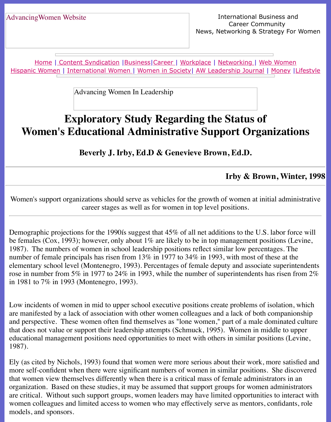Home | Content Syndication | Business | Career | Workplace | Networking | Web Wo Hispanic Women | International Women | Women in Society | AW Leadership Journal | Mon

Advancing Women In Leadership

# **[Exploratory](file:///content.html) [Study](file:///business.html) [Rega](file:///awcareer.html)[rding t](file:///workplace.html)h[e Status](file:///networks.html) [of](file:///web.html) [Women'](file:///hispanic.html)s [Educational A](file:///international.html)[dministrativ](file:///Users/nrahman/Desktop/Flash2/womsoc/index.html)[e Support Orga](file:///awl/awl.html)niz**

**Beverly J. Irby, Ed.D & Genevieve Brown, Ed.D.**

Irby & Brown,

Women's support organizations should serve as vehicles for the growth of women at initial a career stages as well as for women in top level positions.

Demographic projections for the 1990 is suggest that  $45\%$  of all net additions to the U.S. labor be females (Cox, 1993); however, only about 1% are likely to be in top management position 1987). The numbers of women in school leadership positions reflect similar low percentages number of female principals has risen from  $13\%$  in  $1977$  to  $34\%$  in 1993, with most of these elementary school level (Montenegro, 1993). Percentages of female deputy and associate sup rose in number from 5% in 1977 to 24% in 1993, while the number of superintendents has ri in 1981 to 7% in 1993 (Montenegro, 1993).

Low incidents of women in mid to upper school executive positions create problems of isola are manifested by a lack of association with other women colleagues and a lack of both comparison and perspective. These women often find themselves as "lone women," part of a male domin that does not value or support their leadership attempts (Schmuck, 1995). Women in middle educational management positions need opportunities to meet with others in similar position 1987).

Ely (as cited by Nichols, 1993) found that women were more serious about their work, more more self-confident when there were significant numbers of women in similar positions. She that women view themselves differently when there is a critical mass of female administrators organization. Based on these studies, it may be assumed that support groups for women adm are critical. Without such support groups, women leaders may have limited opportunities to women colleagues and limited access to women who may effectively serve as mentors, confi models, and sponsors.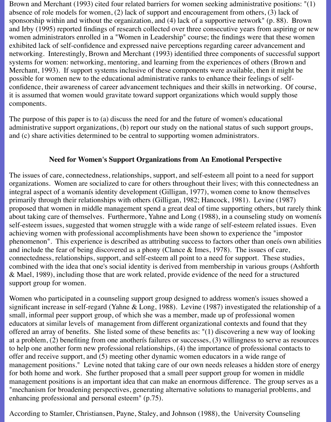Brown and Merchant (1993) cited four related barriers for women seeking administrative positions: "(1) absence of role models for women, (2) lack of support and encouragement from others, (3) lack of sponsorship within and without the organization, and (4) lack of a supportive network" (p. 88). Brown and Irby (1995) reported findings of research collected over three consecutive years from aspiring or new women administrators enrolled in a "Women in Leadership" course; the findings were that these women exhibited lack of self-confidence and expressed naive perceptions regarding career advancement and networking. Interestingly, Brown and Merchant (1993) identified three components of successful support systems for women: networking, mentoring, and learning from the experiences of others (Brown and Merchant, 1993). If support systems inclusive of these components were available, then it might be possible for women new to the educational administrative ranks to enhance their feelings of selfconfidence, their awareness of career advancement techniques and their skills in networking. Of course, it is assumed that women would gravitate toward support organizations which would supply those components.

The purpose of this paper is to (a) discuss the need for and the future of women's educational administrative support organizations, (b) report our study on the national status of such support groups, and (c) share activities determined to be central to supporting women administrators.

#### **Need for Women's Support Organizations from An Emotional Perspective**

The issues of care, connectedness, relationships, support, and self-esteem all point to a need for support organizations. Women are socialized to care for others throughout their lives; with this connectedness an integral aspect of a womanís identity development (Gilligan, 1977), women come to know themselves primarily through their relationships with others (Gilligan, 1982; Hancock, 1981). Levine (1987) proposed that women in middle management spend a great deal of time supporting others, but rarely think about taking care of themselves. Furthermore, Yahne and Long (1988), in a counseling study on womenís self-esteem issues, suggested that women struggle with a wide range of self-esteem related issues. Even achieving women with professional accomplishments have been shown to experience the "impostor phenomenon". This experience is described as attributing success to factors other than oneís own abilities and include the fear of being discovered as a phony (Clance & Imes, 1978). The issues of care, connectedness, relationships, support, and self-esteem all point to a need for support. These studies, combined with the idea that one's social identity is derived from membership in various groups (Ashforth & Mael, 1989), including those that are work related, provide evidence of the need for a structured support group for women.

Women who participated in a counseling support group designed to address women's issues showed a significant increase in self-regard (Yahne & Long, 1988). Levine (1987) investigated the relationship of a small, informal peer support group, of which she was a member, made up of professional women educators at similar levels of management from different organizational contexts and found that they offered an array of benefits. She listed some of these benefits as: "(1) discovering a new way of looking at a problem, (2) benefiting from one anotherís failures or successes, (3) willingness to serve as resources to help one another form new professional relationships, (4) the importance of professional contacts to offer and receive support, and (5) meeting other dynamic women educators in a wide range of management positions." Levine noted that taking care of our own needs releases a hidden store of energy for both home and work. She further proposed that a small peer support group for women in middle management positions is an important idea that can make an enormous difference. The group serves as a "mechanism for broadening perspectives, generating alternative solutions to managerial problems, and enhancing professional and personal esteem" (p.75).

According to Stamler, Christiansen, Payne, Staley, and Johnson (1988), the University Counseling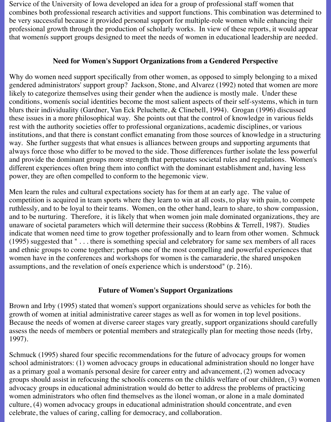Service of the University of Iowa developed an idea for a group of professional staff women that combines both professional research activities and support functions. This combination was determined to be very successful because it provided personal support for multiple-role women while enhancing their professional growth through the production of scholarly works. In view of these reports, it would appear that womenís support groups designed to meet the needs of women in educational leadership are needed.

#### **Need for Women's Support Organizations from a Gendered Perspective**

Why do women need support specifically from other women, as opposed to simply belonging to a mixed gendered administrators' support group? Jackson, Stone, and Alvarez (1992) noted that women are more likely to categorize themselves using their gender when the audience is mostly male. Under these conditions, womenís social identities become the most salient aspects of their self-systems, which in turn blurs their individuality (Gardner, Van Eck Peluchette, & Clinebell, 1994). Grogan (1996) discussed these issues in a more philosophical way. She points out that the control of knowledge in various fields rest with the authority societies offer to professional organizations, academic disciplines, or various institutions, and that there is constant conflict emanating from those sources of knowledge in a structuring way. She further suggests that what ensues is alliances between groups and supporting arguments that always force those who differ to be moved to the side. Those differences further isolate the less powerful and provide the dominant groups more strength that perpetuates societal rules and regulations. Women's different experiences often bring them into conflict with the dominant establishment and, having less power, they are often compelled to conform to the hegemonic view.

Men learn the rules and cultural expectations society has for them at an early age. The value of competition is acquired in team sports where they learn to win at all costs, to play with pain, to compete ruthlessly, and to be loyal to their teams. Women, on the other hand, learn to share, to show compassion, and to be nurturing. Therefore, it is likely that when women join male dominated organizations, they are unaware of societal parameters which will determine their success (Robbins & Terrell, 1987). Studies indicate that women need time to grow together professionally and to learn from other women. Schmuck (1995) suggested that " . . . there is something special and celebratory for same sex members of all races and ethnic groups to come together; perhaps one of the most compelling and powerful experiences that women have in the conferences and workshops for women is the camaraderie, the shared unspoken assumptions, and the revelation of oneís experience which is understood" (p. 216).

#### **Future of Women's Support Organizations**

Brown and Irby (1995) stated that women's support organizations should serve as vehicles for both the growth of women at initial administrative career stages as well as for women in top level positions. Because the needs of women at diverse career stages vary greatly, support organizations should carefully assess the needs of members or potential members and strategically plan for meeting those needs (Irby, 1997).

Schmuck (1995) shared four specific recommendations for the future of advocacy groups for women school administrators: (1) women advocacy groups in educational administration should no longer have as a primary goal a womanís personal desire for career entry and advancement, (2) women advocacy groups should assist in refocusing the schoolís concerns on the childís welfare of our children, (3) women advocacy groups in educational administration would do better to address the problems of practicing women administrators who often find themselves as the ìloneî woman, or alone in a male dominated culture, (4) women advocacy groups in educational administration should concentrate, and even celebrate, the values of caring, calling for democracy, and collaboration.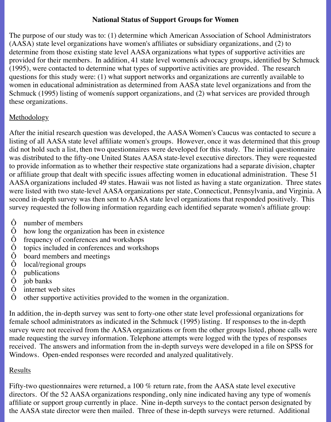# **National Status of Support Groups for Women**

The purpose of our study was to: (1) determine which American Association of School Administrators (AASA) state level organizations have women's affiliates or subsidiary organizations, and (2) to determine from those existing state level AASA organizations what types of supportive activities are provided for their members. In addition, 41 state level womenís advocacy groups, identified by Schmuck (1995), were contacted to determine what types of supportive activities are provided. The research questions for this study were: (1) what support networks and organizations are currently available to women in educational administration as determined from AASA state level organizations and from the Schmuck (1995) listing of womenís support organizations, and (2) what services are provided through these organizations.

# **Methodology**

After the initial research question was developed, the AASA Women's Caucus was contacted to secure a listing of all AASA state level affiliate women's groups. However, once it was determined that this group did not hold such a list, then two questionnaires were developed for this study. The initial questionnaire was distributed to the fifty-one United States AASA state-level executive directors. They were requested to provide information as to whether their respective state organizations had a separate division, chapter or affiliate group that dealt with specific issues affecting women in educational administration. These 51 AASA organizations included 49 states. Hawaii was not listed as having a state organization. Three states were listed with two state-level AASA organizations per state, Connecticut, Pennsylvania, and Virginia. A second in-depth survey was then sent to AASA state level organizations that responded positively. This survey requested the following information regarding each identified separate women's affiliate group:

- Ô number of members
- $\hat{O}$  how long the organization has been in existence  $\hat{O}$  frequency of conferences and workshops
- $\hat{O}$  frequency of conferences and workshops<br> $\hat{O}$  topics included in conferences and works
- $\hat{O}$  topics included in conferences and workshops<br> $\hat{O}$  board members and meetings
- $\hat{O}$  board members and meetings<br> $\hat{O}$  local/regional groups
- O local/regional groups<br>Ô publications
- publications
- $\hat{O}$  job banks
- Ô internet web sites
- Ô other supportive activities provided to the women in the organization.

In addition, the in-depth survey was sent to forty-one other state level professional organizations for female school administrators as indicated in the Schmuck (1995) listing. If responses to the in-depth survey were not received from the AASA organizations or from the other groups listed, phone calls were made requesting the survey information. Telephone attempts were logged with the types of responses received. The answers and information from the in-depth surveys were developed in a file on SPSS for Windows. Open-ended responses were recorded and analyzed qualitatively.

#### **Results**

Fifty-two questionnaires were returned, a 100 % return rate, from the AASA state level executive directors. Of the 52 AASA organizations responding, only nine indicated having any type of womenís affiliate or support group currently in place. Nine in-depth surveys to the contact person designated by the AASA state director were then mailed. Three of these in-depth surveys were returned. Additional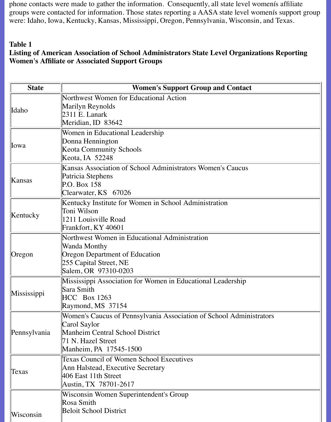phone contacts were made to gather the information. Consequently, all state level womenís affiliate groups were contacted for information. Those states reporting a AASA state level womenís support group were: Idaho, Iowa, Kentucky, Kansas, Mississippi, Oregon, Pennsylvania, Wisconsin, and Texas.

#### **Table 1**

# **Listing of American Association of School Administrators State Level Organizations Reporting Women's Affiliate or Associated Support Groups**

| <b>State</b> | <b>Women's Support Group and Contact</b>                            |
|--------------|---------------------------------------------------------------------|
|              | Northwest Women for Educational Action                              |
| Idaho        | Marilyn Reynolds                                                    |
|              | $2311$ E. Lanark                                                    |
|              | Meridian, ID 83642                                                  |
|              | Women in Educational Leadership                                     |
| <b>llowa</b> | Donna Hennington                                                    |
|              | <b>Keota Community Schools</b>                                      |
|              | Keota, IA 52248                                                     |
| Kansas       | Kansas Association of School Administrators Women's Caucus          |
|              | Patricia Stephens                                                   |
|              | P.O. Box 158                                                        |
|              | Clearwater, KS 67026                                                |
| Kentucky     | Kentucky Institute for Women in School Administration               |
|              | Toni Wilson                                                         |
|              | 1211 Louisville Road                                                |
|              | Frankfort, KY 40601                                                 |
|              | Northwest Women in Educational Administration                       |
|              | Wanda Monthy                                                        |
| Oregon       | Oregon Department of Education                                      |
|              | 255 Capital Street, NE                                              |
|              | Salem, OR 97310-0203                                                |
|              | Mississippi Association for Women in Educational Leadership         |
| Mississippi  | Sara Smith                                                          |
| Pennsylvania | <b>HCC</b> Box 1263<br>Raymond, MS 37154                            |
|              |                                                                     |
|              | Women's Caucus of Pennsylvania Association of School Administrators |
|              | Carol Saylor<br><b>Manheim Central School District</b>              |
|              | 71 N. Hazel Street                                                  |
|              | Manheim, PA 17545-1500                                              |
| Texas        | <b>Texas Council of Women School Executives</b>                     |
|              | Ann Halstead, Executive Secretary                                   |
|              | 406 East 11th Street                                                |
|              | Austin, TX 78701-2617                                               |
|              | Wisconsin Women Superintendent's Group                              |
|              | Rosa Smith                                                          |
|              | <b>Beloit School District</b>                                       |
| Wisconsin    |                                                                     |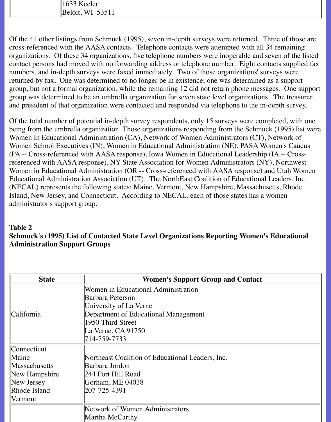1633 Keeler Beloit, WI 53511

Of the 41 other listings from Schmuck (1995), seven in-depth surveys were returned. Three of those are cross-referenced with the AASA contacts. Telephone contacts were attempted with all 34 remaining organizations. Of these 34 organizations, five telephone numbers were inoperable and seven of the listed contact persons had moved with no forwarding address or telephone number. Eight contacts supplied fax numbers, and in-depth surveys were faxed immediately. Two of those organizations' surveys were returned by fax. One was determined to no longer be in existence; one was determined as a support group, but not a formal organization, while the remaining 12 did not return phone messages. One support group was determined to be an umbrella organization for seven state level organizations. The treasurer and president of that organization were contacted and responded via telephone to the in-depth survey.

Of the total number of potential in-depth survey respondents, only 15 surveys were completed, with one being from the umbrella organization. Those organizations responding from the Schmuck (1995) list were Women In Educational Administration (CA), Network of Women Administrators (CT), Network of Women School Executives (IN), Women in Educational Administration (NE), PASA Women's Caucus (PA -- Cross-referenced with AASA response), Iowa Women in Educational Leadership (IA -- Crossreferenced with AASA response), NY State Association for Women Administrators (NY), Northwest Women in Educational Administration (OR -- Cross-referenced with AASA response) and Utah Women Educational Administration Association (UT). The NorthEast Coalition of Educational Leaders, Inc. (NECAL) represents the following states: Maine, Vermont, New Hampshire, Massachusetts, Rhode Island, New Jersey, and Connecticut. According to NECAL, each of those states has a women administrator's support group.

# **Table 2 Schmuck's (1995) List of Contacted State Level Organizations Reporting Women's Educational Administration Support Groups**

| <b>State</b>         | <b>Women's Support Group and Contact</b>         |
|----------------------|--------------------------------------------------|
|                      | Women in Educational Administration              |
|                      | Barbara Peterson                                 |
|                      | University of La Verne                           |
| California           | Department of Educational Management             |
|                      | 1950 Third Street                                |
|                      | La Verne, $CA$ 91750                             |
|                      | 714-759-7733                                     |
| Connecticut          |                                                  |
| Maine                | Northeast Coalition of Educational Leaders, Inc. |
| <b>Massachusetts</b> | Barbara Jordon                                   |
| New Hampshire        | 244 Fort Hill Road                               |
| New Jersey           | Gorham, ME 04038                                 |
| Rhode Island         | 207-725-4391                                     |
| Vermont              |                                                  |
|                      | Network of Women Administrators                  |
|                      | Martha McCarthy                                  |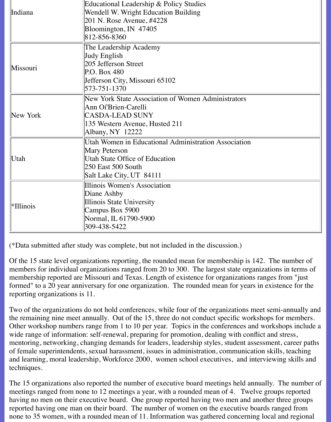|           | Educational Leadership & Policy Studies              |
|-----------|------------------------------------------------------|
| Indiana   | Wendell W. Wright Education Building                 |
|           | 201 N. Rose Avenue, #4228                            |
|           | Bloomington, IN 47405                                |
|           | 812-856-8360                                         |
|           | The Leadership Academy                               |
|           | Judy English                                         |
| Missouri  | 205 Jefferson Street                                 |
|           | P.O. Box 480                                         |
|           | Jefferson City, Missouri 65102                       |
|           | 573-751-1370                                         |
|           | New York State Association of Women Administrators   |
|           | Ann Oí'Brien-Carelli                                 |
| New York  | <b>CASDA-LEAD SUNY</b>                               |
|           | 135 Western Avenue, Husted 211                       |
|           | Albany, NY 12222                                     |
|           | Utah Women in Educational Administration Association |
|           | Mary Peterson                                        |
| Utah      | <b>Utah State Office of Education</b>                |
|           | $250$ East 500 South                                 |
|           | Salt Lake City, UT 84111                             |
|           | Illinois Women's Association                         |
|           | Diane Ashby                                          |
| *Illinois | Illinois State University                            |
|           | Campus Box 5900                                      |
|           | Normal, IL 61790-5900                                |
|           | 309-438-5422                                         |

(\*Data submitted after study was complete, but not included in the discussion.)

Of the 15 state level organizations reporting, the rounded mean for membership is 142. The number of members for individual organizations ranged from 20 to 300. The largest state organizations in terms of membership reported are Missouri and Texas. Length of existence for organizations ranges from "just formed" to a 20 year anniversary for one organization. The rounded mean for years in existence for the reporting organizations is 11.

Two of the organizations do not hold conferences, while four of the organizations meet semi-annually and the remaining nine meet annually. Out of the 15, three do not conduct specific workshops for members. Other workshop numbers range from 1 to 10 per year. Topics in the conferences and workshops include a wide range of information: self-renewal, preparing for promotion, dealing with conflict and stress, mentoring, networking, changing demands for leaders, leadership styles, student assessment, career paths of female superintendents, sexual harassment, issues in administration, communication skills, teaching and learning, moral leadership, Workforce 2000, women school executives, and interviewing skills and techniques.

The 15 organizations also reported the number of executive board meetings held annually. The number of meetings ranged from none to 12 meetings a year, with a rounded mean of 4. Twelve groups reported having no men on their executive board. One group reported having two men and another three groups reported having one man on their board. The number of women on the executive boards ranged from none to 35 women, with a rounded mean of 11. Information was gathered concerning local and regional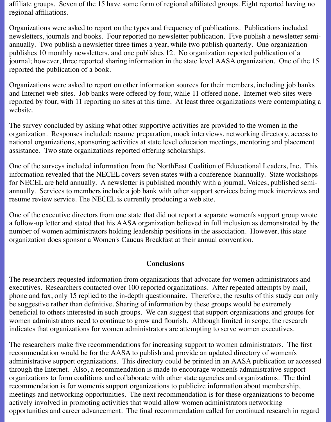affiliate groups. Seven of the 15 have some form of regional affiliated groups. Eight reported having no regional affiliations.

Organizations were asked to report on the types and frequency of publications. Publications included newsletters, journals and books. Four reported no newsletter publication. Five publish a newsletter semiannually. Two publish a newsletter three times a year, while two publish quarterly. One organization publishes 10 monthly newsletters, and one publishes 12. No organization reported publication of a journal; however, three reported sharing information in the state level AASA organization. One of the 15 reported the publication of a book.

Organizations were asked to report on other information sources for their members, including job banks and Internet web sites. Job banks were offered by four, while 11 offered none. Internet web sites were reported by four, with 11 reporting no sites at this time. At least three organizations were contemplating a website.

The survey concluded by asking what other supportive activities are provided to the women in the organization. Responses included: resume preparation, mock interviews, networking directory, access to national organizations, sponsoring activities at state level education meetings, mentoring and placement assistance. Two state organizations reported offering scholarships.

One of the surveys included information from the NorthEast Coalition of Educational Leaders, Inc. This information revealed that the NECEL covers seven states with a conference biannually. State workshops for NECEL are held annually. A newsletter is published monthly with a journal, Voices, published semiannually. Services to members include a job bank with other support services being mock interviews and resume review service. The NECEL is currently producing a web site.

One of the executive directors from one state that did not report a separate womenís support group wrote a follow-up letter and stated that his AASA organization believed in full inclusion as demonstrated by the number of women administrators holding leadership positions in the association. However, this state organization does sponsor a Women's Caucus Breakfast at their annual convention.

#### **Conclusions**

The researchers requested information from organizations that advocate for women administrators and executives. Researchers contacted over 100 reported organizations. After repeated attempts by mail, phone and fax, only 15 replied to the in-depth questionnaire. Therefore, the results of this study can only be suggestive rather than definitive. Sharing of information by these groups would be extremely beneficial to others interested in such groups. We can suggest that support organizations and groups for women administrators need to continue to grow and flourish. Although limited in scope, the research indicates that organizations for women administrators are attempting to serve women executives.

The researchers make five recommendations for increasing support to women administrators. The first recommendation would be for the AASA to publish and provide an updated directory of womenís administrative support organizations. This directory could be printed in an AASA publication or accessed through the Internet. Also, a recommendation is made to encourage womenís administrative support organizations to form coalitions and collaborate with other state agencies and organizations. The third recommendation is for womenís support organizations to publicize information about membership, meetings and networking opportunities. The next recommendation is for these organizations to become actively involved in promoting activities that would allow women administrators networking opportunities and career advancement. The final recommendation called for continued research in regard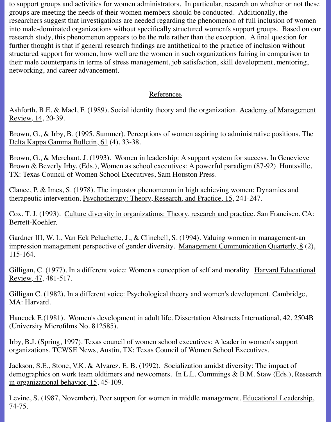to support groups and activities for women administrators. In particular, research on whether or not these groups are meeting the needs of their women members should be conducted. Additionally, the researchers suggest that investigations are needed regarding the phenomenon of full inclusion of women into male-dominated organizations without specifically structured womenís support groups. Based on our research study, this phenomenon appears to be the rule rather than the exception. A final question for further thought is that if general research findings are antithetical to the practice of inclusion without structured support for women, how well are the women in such organizations fairing in comparison to their male counterparts in terms of stress management, job satisfaction, skill development, mentoring, networking, and career advancement.

# References

Ashforth, B.E. & Mael, F. (1989). Social identity theory and the organization. Academy of Management Review, 14, 20-39.

Brown, G., & Irby, B. (1995, Summer). Perceptions of women aspiring to administrative positions. The Delta Kappa Gamma Bulletin, 61 (4), 33-38.

Brown, G., & Merchant, J. (1993). Women in leadership: A support system for success. In Genevieve Brown & Beverly Irby, (Eds.), Women as school executives: A powerful paradigm (87-92). Huntsville, TX: Texas Council of Women School Executives, Sam Houston Press.

Clance, P. & Imes, S. (1978). The impostor phenomenon in high achieving women: Dynamics and therapeutic intervention. Psychotherapy: Theory, Research, and Practice, 15, 241-247.

Cox, T. J. (1993). Culture diversity in organizations: Theory, research and practice. San Francisco, CA: Berrett-Koehler.

Gardner III, W. L, Van Eck Peluchette, J., & Clinebell, S. (1994). Valuing women in management-an impression management perspective of gender diversity. Management Communication Quarterly, 8 (2), 115-164.

Gilligan, C. (1977). In a different voice: Women's conception of self and morality. Harvard Educational Review, 47, 481-517.

Gilligan C. (1982). In a different voice: Psychological theory and women's development. Cambridge, MA: Harvard.

Hancock E.(1981). Women's development in adult life. Dissertation Abstracts International, 42, 2504B (University Microfilms No. 812585).

Irby, B.J. (Spring, 1997). Texas council of women school executives: A leader in women's support organizations. TCWSE News, Austin, TX: Texas Council of Women School Executives.

Jackson, S.E., Stone, V.K. & Alvarez, E. B. (1992). Socialization amidst diversity: The impact of demographics on work team oldtimers and newcomers. In L.L. Cummings & B.M. Staw (Eds.), Research in organizational behavior, 15, 45-109.

Levine, S. (1987, November). Peer support for women in middle management. Educational Leadership, 74-75.